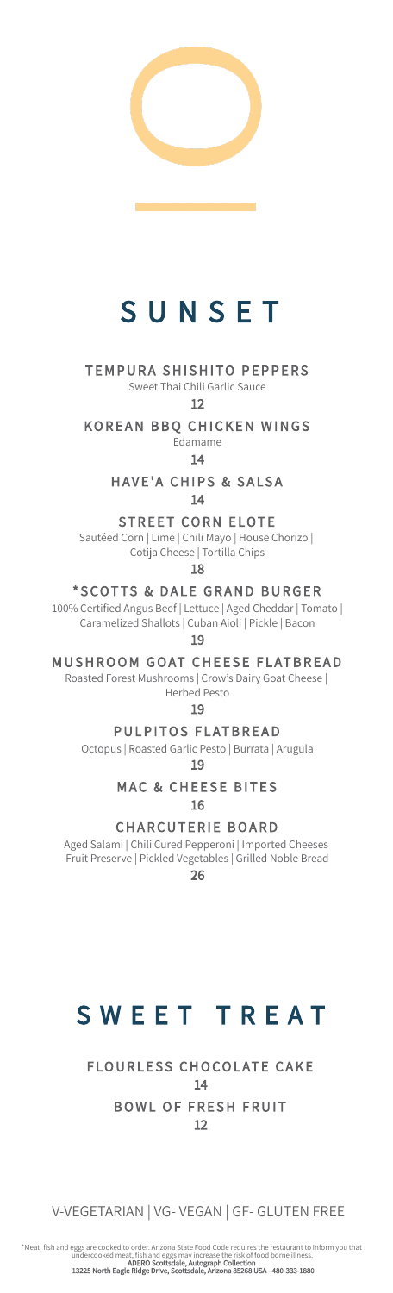

# **SUNSET**

### TEMPURA SHISHITO PEPPERS

Sweet Thai Chili Garlic Sauce

12

KOREAN BBQ CHICKEN WINGS

Edamame

14 HAVE'A CHIPS & SALSA

14

STREET CORN ELOTE

 Sautéed Corn | Lime | Chili Mayo | House Chorizo | Cotija Cheese | Tortilla Chips

18

\* SCOTTS & DALE GRAND BURGER

 100% Certied Angus Beef | Lettuce | Aged Cheddar | Tomato | Caramelized Shallots | Cuban Aioli | Pickle | Bacon

19

MUSHROOM GOAT CHEESE FLATBREAD

 Roasted Forest Mushrooms | Crow's Dairy Goat Cheese | Herbed Pesto

19

PULPITOS FLATBREAD

Octopus | Roasted Garlic Pesto | Burrata | Arugula

19

**MAC & CHEESE BITES** 16

**CHARCUTERIE BOARD** 

 Aged Salami | Chili Cured Pepperoni | Imported Cheeses Fruit Preserve | Pickled Vegetables | Grilled Noble Bread 26

## SWEET TREAT

BOWL OF FRESH FRUIT FLOURLESS CHOCOLATE CAKE 14 12

V-VEGETARIAN | VG- VEGAN | GF- GLUTEN FREE